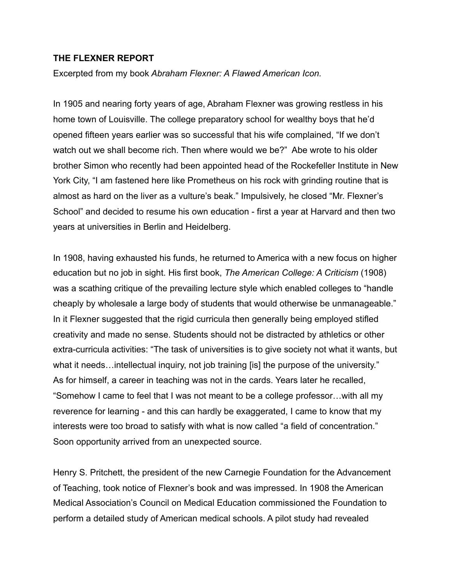## **THE FLEXNER REPORT**

Excerpted from my book *Abraham Flexner: A Flawed American Icon.* 

In 1905 and nearing forty years of age, Abraham Flexner was growing restless in his home town of Louisville. The college preparatory school for wealthy boys that he'd opened fifteen years earlier was so successful that his wife complained, "If we don't watch out we shall become rich. Then where would we be?" Abe wrote to his older brother Simon who recently had been appointed head of the Rockefeller Institute in New York City, "I am fastened here like Prometheus on his rock with grinding routine that is almost as hard on the liver as a vulture's beak." Impulsively, he closed "Mr. Flexner's School" and decided to resume his own education - first a year at Harvard and then two years at universities in Berlin and Heidelberg.

In 1908, having exhausted his funds, he returned to America with a new focus on higher education but no job in sight. His first book, *The American College: A Criticism* (1908) was a scathing critique of the prevailing lecture style which enabled colleges to "handle cheaply by wholesale a large body of students that would otherwise be unmanageable." In it Flexner suggested that the rigid curricula then generally being employed stifled creativity and made no sense. Students should not be distracted by athletics or other extra-curricula activities: "The task of universities is to give society not what it wants, but what it needs...intellectual inquiry, not job training [is] the purpose of the university." As for himself, a career in teaching was not in the cards. Years later he recalled, "Somehow I came to feel that I was not meant to be a college professor…with all my reverence for learning - and this can hardly be exaggerated, I came to know that my interests were too broad to satisfy with what is now called "a field of concentration." Soon opportunity arrived from an unexpected source.

Henry S. Pritchett, the president of the new Carnegie Foundation for the Advancement of Teaching, took notice of Flexner's book and was impressed. In 1908 the American Medical Association's Council on Medical Education commissioned the Foundation to perform a detailed study of American medical schools. A pilot study had revealed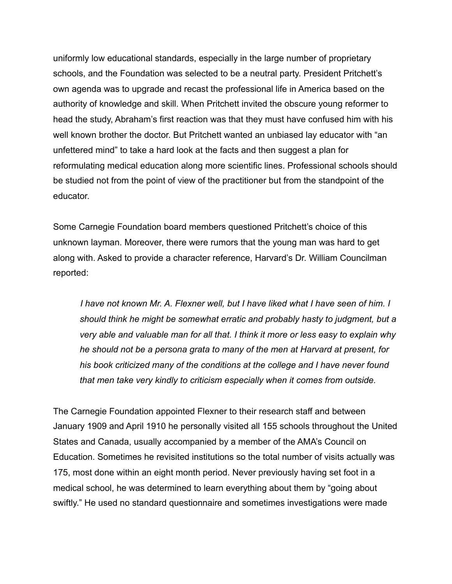uniformly low educational standards, especially in the large number of proprietary schools, and the Foundation was selected to be a neutral party. President Pritchett's own agenda was to upgrade and recast the professional life in America based on the authority of knowledge and skill. When Pritchett invited the obscure young reformer to head the study, Abraham's first reaction was that they must have confused him with his well known brother the doctor. But Pritchett wanted an unbiased lay educator with "an unfettered mind" to take a hard look at the facts and then suggest a plan for reformulating medical education along more scientific lines. Professional schools should be studied not from the point of view of the practitioner but from the standpoint of the educator.

Some Carnegie Foundation board members questioned Pritchett's choice of this unknown layman. Moreover, there were rumors that the young man was hard to get along with. Asked to provide a character reference, Harvard's Dr. William Councilman reported:

 *I have not known Mr. A. Flexner well, but I have liked what I have seen of him. I should think he might be somewhat erratic and probably hasty to judgment, but a very able and valuable man for all that. I think it more or less easy to explain why he should not be a persona grata to many of the men at Harvard at present, for his book criticized many of the conditions at the college and I have never found that men take very kindly to criticism especially when it comes from outside.* 

The Carnegie Foundation appointed Flexner to their research staff and between January 1909 and April 1910 he personally visited all 155 schools throughout the United States and Canada, usually accompanied by a member of the AMA's Council on Education. Sometimes he revisited institutions so the total number of visits actually was 175, most done within an eight month period. Never previously having set foot in a medical school, he was determined to learn everything about them by "going about swiftly." He used no standard questionnaire and sometimes investigations were made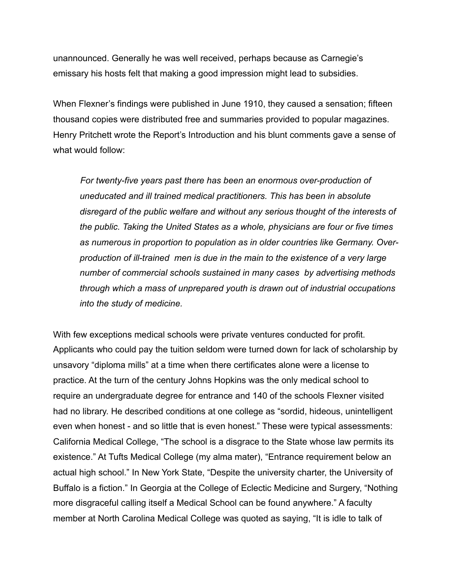unannounced. Generally he was well received, perhaps because as Carnegie's emissary his hosts felt that making a good impression might lead to subsidies.

When Flexner's findings were published in June 1910, they caused a sensation; fifteen thousand copies were distributed free and summaries provided to popular magazines. Henry Pritchett wrote the Report's Introduction and his blunt comments gave a sense of what would follow:

 *For twenty-five years past there has been an enormous over-production of uneducated and ill trained medical practitioners. This has been in absolute disregard of the public welfare and without any serious thought of the interests of the public. Taking the United States as a whole, physicians are four or five times as numerous in proportion to population as in older countries like Germany. Overproduction of ill-trained men is due in the main to the existence of a very large number of commercial schools sustained in many cases by advertising methods through which a mass of unprepared youth is drawn out of industrial occupations into the study of medicine.* 

With few exceptions medical schools were private ventures conducted for profit. Applicants who could pay the tuition seldom were turned down for lack of scholarship by unsavory "diploma mills" at a time when there certificates alone were a license to practice. At the turn of the century Johns Hopkins was the only medical school to require an undergraduate degree for entrance and 140 of the schools Flexner visited had no library. He described conditions at one college as "sordid, hideous, unintelligent even when honest - and so little that is even honest." These were typical assessments: California Medical College, "The school is a disgrace to the State whose law permits its existence." At Tufts Medical College (my alma mater), "Entrance requirement below an actual high school." In New York State, "Despite the university charter, the University of Buffalo is a fiction." In Georgia at the College of Eclectic Medicine and Surgery, "Nothing more disgraceful calling itself a Medical School can be found anywhere." A faculty member at North Carolina Medical College was quoted as saying, "It is idle to talk of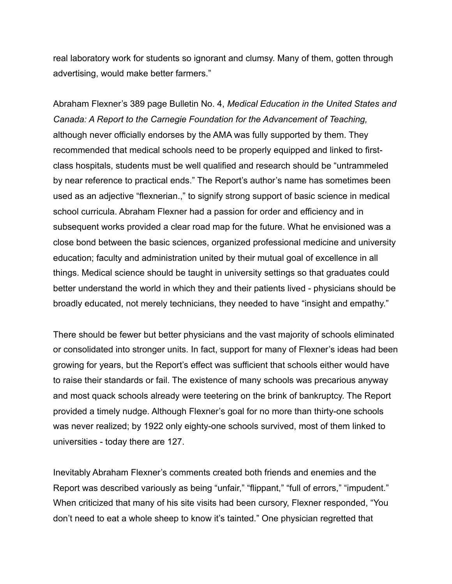real laboratory work for students so ignorant and clumsy. Many of them, gotten through advertising, would make better farmers."

Abraham Flexner's 389 page Bulletin No. 4, *Medical Education in the United States and Canada: A Report to the Carnegie Foundation for the Advancement of Teaching,*  although never officially endorses by the AMA was fully supported by them. They recommended that medical schools need to be properly equipped and linked to firstclass hospitals, students must be well qualified and research should be "untrammeled by near reference to practical ends." The Report's author's name has sometimes been used as an adjective "flexnerian.," to signify strong support of basic science in medical school curricula. Abraham Flexner had a passion for order and efficiency and in subsequent works provided a clear road map for the future. What he envisioned was a close bond between the basic sciences, organized professional medicine and university education; faculty and administration united by their mutual goal of excellence in all things. Medical science should be taught in university settings so that graduates could better understand the world in which they and their patients lived - physicians should be broadly educated, not merely technicians, they needed to have "insight and empathy."

There should be fewer but better physicians and the vast majority of schools eliminated or consolidated into stronger units. In fact, support for many of Flexner's ideas had been growing for years, but the Report's effect was sufficient that schools either would have to raise their standards or fail. The existence of many schools was precarious anyway and most quack schools already were teetering on the brink of bankruptcy. The Report provided a timely nudge. Although Flexner's goal for no more than thirty-one schools was never realized; by 1922 only eighty-one schools survived, most of them linked to universities - today there are 127.

Inevitably Abraham Flexner's comments created both friends and enemies and the Report was described variously as being "unfair," "flippant," "full of errors," "impudent." When criticized that many of his site visits had been cursory, Flexner responded, "You don't need to eat a whole sheep to know it's tainted." One physician regretted that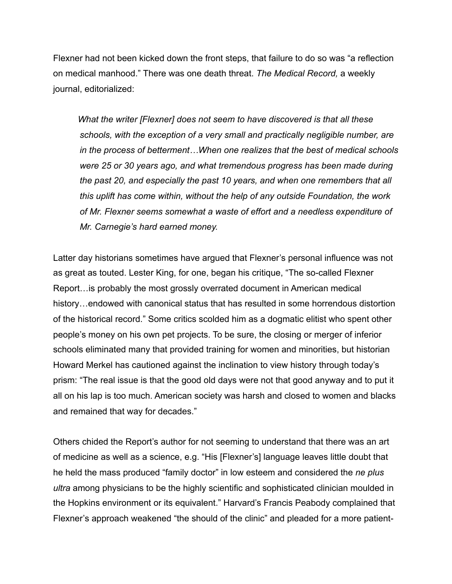Flexner had not been kicked down the front steps, that failure to do so was "a reflection on medical manhood." There was one death threat. *The Medical Record,* a weekly journal, editorialized:

 *What the writer [Flexner] does not seem to have discovered is that all these schools, with the exception of a very small and practically negligible number, are in the process of betterment…When one realizes that the best of medical schools were 25 or 30 years ago, and what tremendous progress has been made during the past 20, and especially the past 10 years, and when one remembers that all this uplift has come within, without the help of any outside Foundation, the work of Mr. Flexner seems somewhat a waste of effort and a needless expenditure of Mr. Carnegie's hard earned money.* 

Latter day historians sometimes have argued that Flexner's personal influence was not as great as touted. Lester King, for one, began his critique, "The so-called Flexner Report…is probably the most grossly overrated document in American medical history…endowed with canonical status that has resulted in some horrendous distortion of the historical record." Some critics scolded him as a dogmatic elitist who spent other people's money on his own pet projects. To be sure, the closing or merger of inferior schools eliminated many that provided training for women and minorities, but historian Howard Merkel has cautioned against the inclination to view history through today's prism: "The real issue is that the good old days were not that good anyway and to put it all on his lap is too much. American society was harsh and closed to women and blacks and remained that way for decades."

Others chided the Report's author for not seeming to understand that there was an art of medicine as well as a science, e.g. "His [Flexner's] language leaves little doubt that he held the mass produced "family doctor" in low esteem and considered the *ne plus ultra* among physicians to be the highly scientific and sophisticated clinician moulded in the Hopkins environment or its equivalent." Harvard's Francis Peabody complained that Flexner's approach weakened "the should of the clinic" and pleaded for a more patient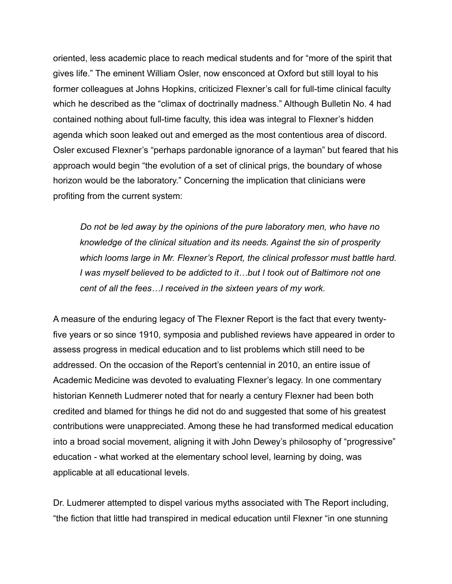oriented, less academic place to reach medical students and for "more of the spirit that gives life." The eminent William Osler, now ensconced at Oxford but still loyal to his former colleagues at Johns Hopkins, criticized Flexner's call for full-time clinical faculty which he described as the "climax of doctrinally madness." Although Bulletin No. 4 had contained nothing about full-time faculty, this idea was integral to Flexner's hidden agenda which soon leaked out and emerged as the most contentious area of discord. Osler excused Flexner's "perhaps pardonable ignorance of a layman" but feared that his approach would begin "the evolution of a set of clinical prigs, the boundary of whose horizon would be the laboratory." Concerning the implication that clinicians were profiting from the current system:

 *Do not be led away by the opinions of the pure laboratory men, who have no knowledge of the clinical situation and its needs. Against the sin of prosperity which looms large in Mr. Flexner's Report, the clinical professor must battle hard. I was myself believed to be addicted to it…but I took out of Baltimore not one cent of all the fees…I received in the sixteen years of my work.* 

A measure of the enduring legacy of The Flexner Report is the fact that every twentyfive years or so since 1910, symposia and published reviews have appeared in order to assess progress in medical education and to list problems which still need to be addressed. On the occasion of the Report's centennial in 2010, an entire issue of Academic Medicine was devoted to evaluating Flexner's legacy. In one commentary historian Kenneth Ludmerer noted that for nearly a century Flexner had been both credited and blamed for things he did not do and suggested that some of his greatest contributions were unappreciated. Among these he had transformed medical education into a broad social movement, aligning it with John Dewey's philosophy of "progressive" education - what worked at the elementary school level, learning by doing, was applicable at all educational levels.

Dr. Ludmerer attempted to dispel various myths associated with The Report including, "the fiction that little had transpired in medical education until Flexner "in one stunning